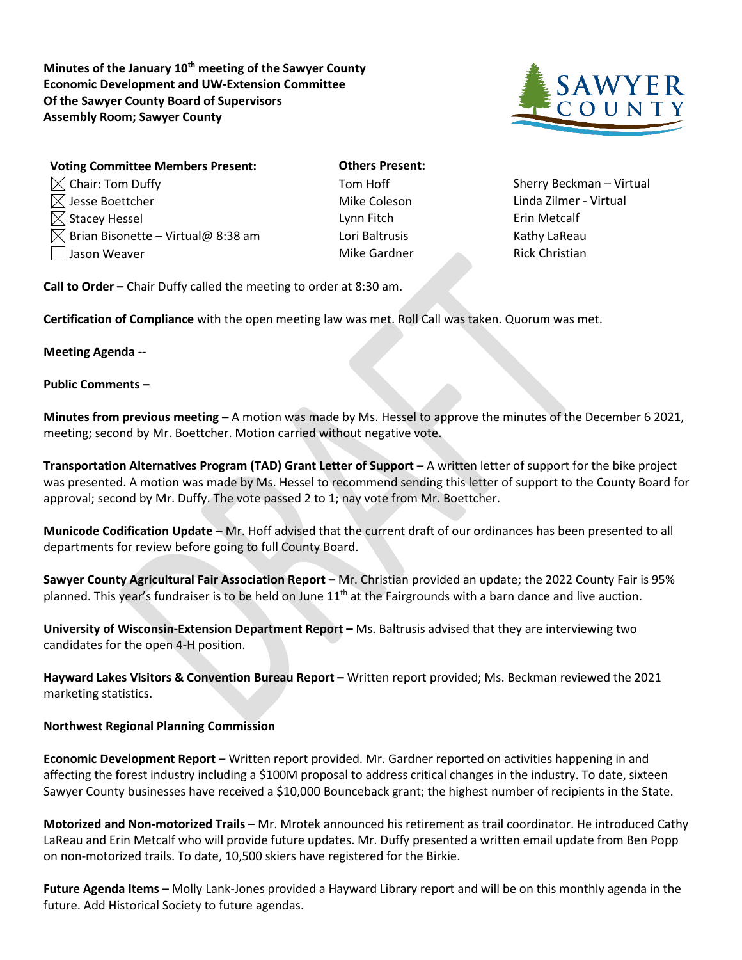Minutes of the January 10<sup>th</sup> meeting of the Sawyer County **Economic Development and UW-Extension Committee Of the Sawyer County Board of Supervisors Assembly Room; Sawyer County**



| <b>Voting Committee Members Present:</b>       | <b>Others Present:</b> |                      |
|------------------------------------------------|------------------------|----------------------|
| $\boxtimes$ Chair: Tom Duffy                   | Tom Hoff               | <b>Sherry Becki</b>  |
| $\boxtimes$ Jesse Boettcher                    | Mike Coleson           | Linda Zilmer         |
| $\boxtimes$ Stacey Hessel                      | Lynn Fitch             | Erin Metcalf         |
| $\boxtimes$ Brian Bisonette – Virtual@ 8:38 am | Lori Baltrusis         | Kathy LaRea          |
| Jason Weaver                                   | Mike Gardner           | <b>Rick Christia</b> |

Tom Hoff Sherry Beckman – Virtual Mike Coleson Linda Zilmer - Virtual

**Call to Order –** Chair Duffy called the meeting to order at 8:30 am.

**Certification of Compliance** with the open meeting law was met. Roll Call was taken. Quorum was met.

## **Meeting Agenda --**

## **Public Comments –**

**Minutes from previous meeting –** A motion was made by Ms. Hessel to approve the minutes of the December 6 2021, meeting; second by Mr. Boettcher. Motion carried without negative vote.

**Transportation Alternatives Program (TAD) Grant Letter of Support** – A written letter of support for the bike project was presented. A motion was made by Ms. Hessel to recommend sending this letter of support to the County Board for approval; second by Mr. Duffy. The vote passed 2 to 1; nay vote from Mr. Boettcher.

**Municode Codification Update** – Mr. Hoff advised that the current draft of our ordinances has been presented to all departments for review before going to full County Board.

**Sawyer County Agricultural Fair Association Report –** Mr. Christian provided an update; the 2022 County Fair is 95% planned. This year's fundraiser is to be held on June  $11<sup>th</sup>$  at the Fairgrounds with a barn dance and live auction.

**University of Wisconsin-Extension Department Report –** Ms. Baltrusis advised that they are interviewing two candidates for the open 4-H position.

**Hayward Lakes Visitors & Convention Bureau Report –** Written report provided; Ms. Beckman reviewed the 2021 marketing statistics.

## **Northwest Regional Planning Commission**

**Economic Development Report** – Written report provided. Mr. Gardner reported on activities happening in and affecting the forest industry including a \$100M proposal to address critical changes in the industry. To date, sixteen Sawyer County businesses have received a \$10,000 Bounceback grant; the highest number of recipients in the State.

**Motorized and Non-motorized Trails** – Mr. Mrotek announced his retirement as trail coordinator. He introduced Cathy LaReau and Erin Metcalf who will provide future updates. Mr. Duffy presented a written email update from Ben Popp on non-motorized trails. To date, 10,500 skiers have registered for the Birkie.

**Future Agenda Items** – Molly Lank-Jones provided a Hayward Library report and will be on this monthly agenda in the future. Add Historical Society to future agendas.